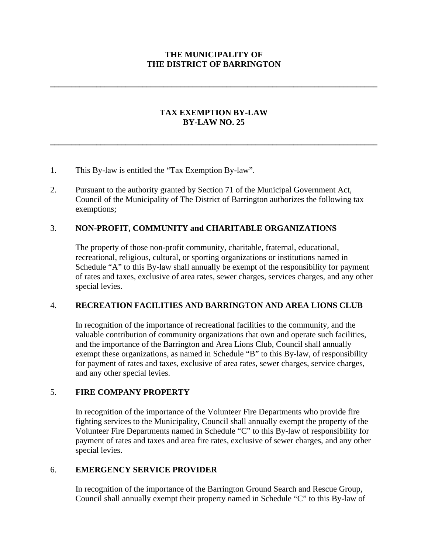## **THE MUNICIPALITY OF THE DISTRICT OF BARRINGTON**

**\_\_\_\_\_\_\_\_\_\_\_\_\_\_\_\_\_\_\_\_\_\_\_\_\_\_\_\_\_\_\_\_\_\_\_\_\_\_\_\_\_\_\_\_\_\_\_\_\_\_\_\_\_\_\_\_\_\_\_\_\_\_\_\_\_\_\_\_\_\_\_\_\_\_\_\_\_\_**

## **TAX EXEMPTION BY-LAW BY-LAW NO. 25**

**\_\_\_\_\_\_\_\_\_\_\_\_\_\_\_\_\_\_\_\_\_\_\_\_\_\_\_\_\_\_\_\_\_\_\_\_\_\_\_\_\_\_\_\_\_\_\_\_\_\_\_\_\_\_\_\_\_\_\_\_\_\_\_\_\_\_\_\_\_\_\_\_\_\_\_\_\_\_**

- 1. This By-law is entitled the "Tax Exemption By-law".
- 2. Pursuant to the authority granted by Section 71 of the Municipal Government Act, Council of the Municipality of The District of Barrington authorizes the following tax exemptions;

## 3. **NON-PROFIT, COMMUNITY and CHARITABLE ORGANIZATIONS**

The property of those non-profit community, charitable, fraternal, educational, recreational, religious, cultural, or sporting organizations or institutions named in Schedule "A" to this By-law shall annually be exempt of the responsibility for payment of rates and taxes, exclusive of area rates, sewer charges, services charges, and any other special levies.

### 4. **RECREATION FACILITIES AND BARRINGTON AND AREA LIONS CLUB**

In recognition of the importance of recreational facilities to the community, and the valuable contribution of community organizations that own and operate such facilities, and the importance of the Barrington and Area Lions Club, Council shall annually exempt these organizations, as named in Schedule "B" to this By-law, of responsibility for payment of rates and taxes, exclusive of area rates, sewer charges, service charges, and any other special levies.

## 5. **FIRE COMPANY PROPERTY**

In recognition of the importance of the Volunteer Fire Departments who provide fire fighting services to the Municipality, Council shall annually exempt the property of the Volunteer Fire Departments named in Schedule "C" to this By-law of responsibility for payment of rates and taxes and area fire rates, exclusive of sewer charges, and any other special levies.

## 6. **EMERGENCY SERVICE PROVIDER**

In recognition of the importance of the Barrington Ground Search and Rescue Group, Council shall annually exempt their property named in Schedule "C" to this By-law of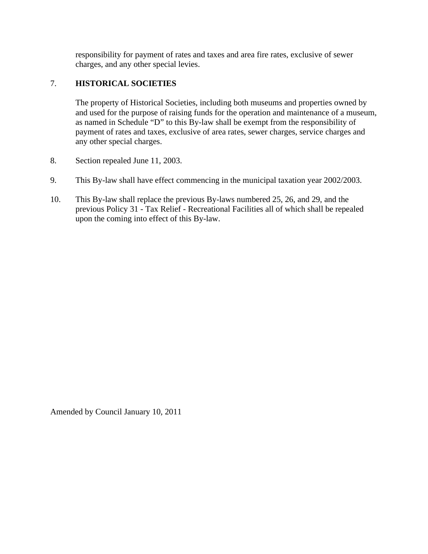responsibility for payment of rates and taxes and area fire rates, exclusive of sewer charges, and any other special levies.

# 7. **HISTORICAL SOCIETIES**

The property of Historical Societies, including both museums and properties owned by and used for the purpose of raising funds for the operation and maintenance of a museum, as named in Schedule "D" to this By-law shall be exempt from the responsibility of payment of rates and taxes, exclusive of area rates, sewer charges, service charges and any other special charges.

- 8. Section repealed June 11, 2003.
- 9. This By-law shall have effect commencing in the municipal taxation year 2002/2003.
- 10. This By-law shall replace the previous By-laws numbered 25, 26, and 29, and the previous Policy 31 - Tax Relief - Recreational Facilities all of which shall be repealed upon the coming into effect of this By-law.

Amended by Council January 10, 2011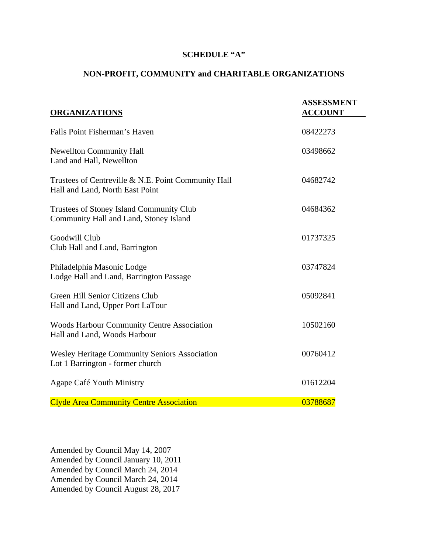### **SCHEDULE "A"**

# **NON-PROFIT, COMMUNITY and CHARITABLE ORGANIZATIONS**

| <b>ORGANIZATIONS</b>                                                                   | <b>ASSESSMENT</b><br><b>ACCOUNT</b> |
|----------------------------------------------------------------------------------------|-------------------------------------|
| Falls Point Fisherman's Haven                                                          | 08422273                            |
| <b>Newellton Community Hall</b><br>Land and Hall, Newellton                            | 03498662                            |
| Trustees of Centreville & N.E. Point Community Hall<br>Hall and Land, North East Point | 04682742                            |
| Trustees of Stoney Island Community Club<br>Community Hall and Land, Stoney Island     | 04684362                            |
| Goodwill Club<br>Club Hall and Land, Barrington                                        | 01737325                            |
| Philadelphia Masonic Lodge<br>Lodge Hall and Land, Barrington Passage                  | 03747824                            |
| Green Hill Senior Citizens Club<br>Hall and Land, Upper Port LaTour                    | 05092841                            |
| <b>Woods Harbour Community Centre Association</b><br>Hall and Land, Woods Harbour      | 10502160                            |
| Wesley Heritage Community Seniors Association<br>Lot 1 Barrington - former church      | 00760412                            |
| Agape Café Youth Ministry                                                              | 01612204                            |
| <b>Clyde Area Community Centre Association</b>                                         | 03788687                            |

Amended by Council May 14, 2007 Amended by Council January 10, 2011 Amended by Council March 24, 2014 Amended by Council March 24, 2014 Amended by Council August 28, 2017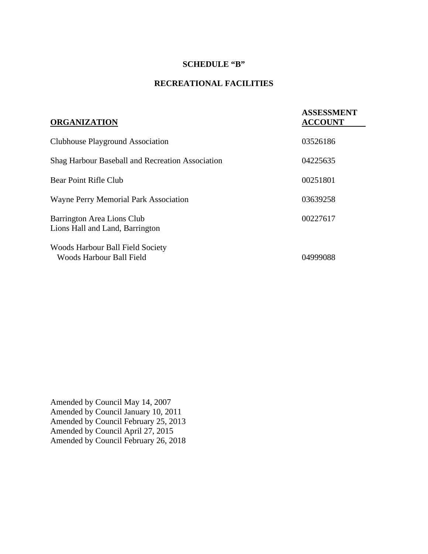## **SCHEDULE "B"**

# **RECREATIONAL FACILITIES**

| <b>ORGANIZATION</b>                                                 | <b>ASSESSMENT</b><br><b>ACCOUNT</b> |
|---------------------------------------------------------------------|-------------------------------------|
| Clubhouse Playground Association                                    | 03526186                            |
| <b>Shag Harbour Baseball and Recreation Association</b>             | 04225635                            |
| Bear Point Rifle Club                                               | 00251801                            |
| Wayne Perry Memorial Park Association                               | 03639258                            |
| Barrington Area Lions Club<br>Lions Hall and Land, Barrington       | 00227617                            |
| <b>Woods Harbour Ball Field Society</b><br>Woods Harbour Ball Field | 04999088                            |

Amended by Council May 14, 2007 Amended by Council January 10, 2011 Amended by Council February 25, 2013 Amended by Council April 27, 2015 Amended by Council February 26, 2018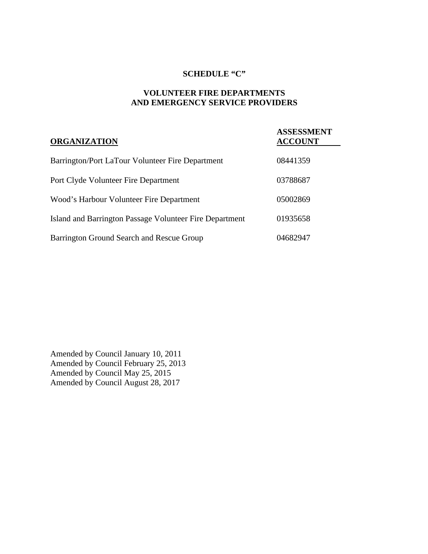## **SCHEDULE "C"**

## **VOLUNTEER FIRE DEPARTMENTS AND EMERGENCY SERVICE PROVIDERS**

| <b>ORGANIZATION</b>                                     | <b>ASSESSMENT</b><br><b>ACCOUNT</b> |
|---------------------------------------------------------|-------------------------------------|
| Barrington/Port LaTour Volunteer Fire Department        | 08441359                            |
| Port Clyde Volunteer Fire Department                    | 03788687                            |
| Wood's Harbour Volunteer Fire Department                | 05002869                            |
| Island and Barrington Passage Volunteer Fire Department | 01935658                            |
| Barrington Ground Search and Rescue Group               | 04682947                            |

Amended by Council January 10, 2011 Amended by Council February 25, 2013 Amended by Council May 25, 2015 Amended by Council August 28, 2017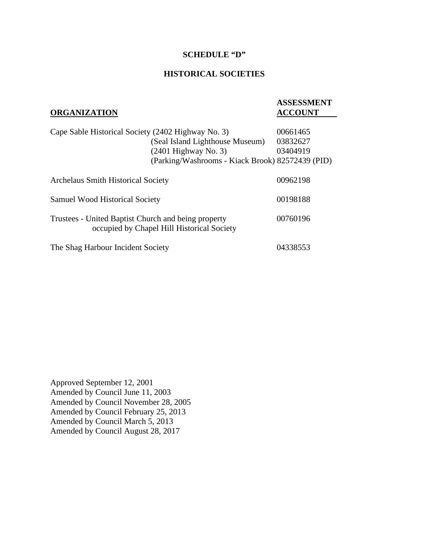#### **SCHEDULE "D"**

### **HISTORICAL SOCIETIES**

| <b>ORGANIZATION</b>                                                                               |                                                  | <b>ASSESSMENT</b><br><b>ACCOUNT</b> |
|---------------------------------------------------------------------------------------------------|--------------------------------------------------|-------------------------------------|
|                                                                                                   |                                                  |                                     |
| Cape Sable Historical Society (2402 Highway No. 3)                                                |                                                  | 00661465                            |
|                                                                                                   | (Seal Island Lighthouse Museum)                  | 03832627                            |
|                                                                                                   | $(2401$ Highway No. 3)                           | 03404919                            |
|                                                                                                   | (Parking/Washrooms - Kiack Brook) 82572439 (PID) |                                     |
| <b>Archelaus Smith Historical Society</b>                                                         |                                                  | 00962198                            |
| <b>Samuel Wood Historical Society</b>                                                             |                                                  | 00198188                            |
| Trustees - United Baptist Church and being property<br>occupied by Chapel Hill Historical Society |                                                  | 00760196                            |
| The Shag Harbour Incident Society                                                                 |                                                  | 04338553                            |

Approved September 12, 2001 Amended by Council June 11, 2003 Amended by Council November 28, 2005 Amended by Council February 25, 2013 Amended by Council March 5, 2013 Amended by Council August 28, 2017